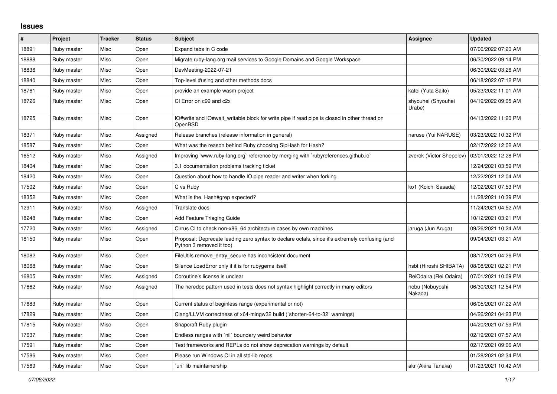## **Issues**

| #     | Project     | <b>Tracker</b> | <b>Status</b> | <b>Subject</b>                                                                                                             | Assignee                     | <b>Updated</b>      |
|-------|-------------|----------------|---------------|----------------------------------------------------------------------------------------------------------------------------|------------------------------|---------------------|
| 18891 | Ruby master | Misc           | Open          | Expand tabs in C code                                                                                                      |                              | 07/06/2022 07:20 AM |
| 18888 | Ruby master | Misc           | Open          | Migrate ruby-lang.org mail services to Google Domains and Google Workspace                                                 |                              | 06/30/2022 09:14 PM |
| 18836 | Ruby master | Misc           | Open          | DevMeeting-2022-07-21                                                                                                      |                              | 06/30/2022 03:26 AM |
| 18840 | Ruby master | Misc           | Open          | Top-level #using and other methods docs                                                                                    |                              | 06/18/2022 07:12 PM |
| 18761 | Ruby master | Misc           | Open          | provide an example wasm project                                                                                            | katei (Yuta Saito)           | 05/23/2022 11:01 AM |
| 18726 | Ruby master | Misc           | Open          | CI Error on c99 and c2x                                                                                                    | shyouhei (Shyouhei<br>Urabe) | 04/19/2022 09:05 AM |
| 18725 | Ruby master | Misc           | Open          | IO#write and IO#wait writable block for write pipe if read pipe is closed in other thread on<br>OpenBSD                    |                              | 04/13/2022 11:20 PM |
| 18371 | Ruby master | Misc           | Assigned      | Release branches (release information in general)                                                                          | naruse (Yui NARUSE)          | 03/23/2022 10:32 PM |
| 18587 | Ruby master | Misc           | Open          | What was the reason behind Ruby choosing SipHash for Hash?                                                                 |                              | 02/17/2022 12:02 AM |
| 16512 | Ruby master | Misc           | Assigned      | Improving `www.ruby-lang.org` reference by merging with `rubyreferences.github.io`                                         | zverok (Victor Shepelev)     | 02/01/2022 12:28 PM |
| 18404 | Ruby master | Misc           | Open          | 3.1 documentation problems tracking ticket                                                                                 |                              | 12/24/2021 03:59 PM |
| 18420 | Ruby master | Misc           | Open          | Question about how to handle IO.pipe reader and writer when forking                                                        |                              | 12/22/2021 12:04 AM |
| 17502 | Ruby master | Misc           | Open          | C vs Ruby                                                                                                                  | ko1 (Koichi Sasada)          | 12/02/2021 07:53 PM |
| 18352 | Ruby master | Misc           | Open          | What is the Hash#grep expected?                                                                                            |                              | 11/28/2021 10:39 PM |
| 12911 | Ruby master | Misc           | Assigned      | Translate docs                                                                                                             |                              | 11/24/2021 04:52 AM |
| 18248 | Ruby master | Misc           | Open          | <b>Add Feature Triaging Guide</b>                                                                                          |                              | 10/12/2021 03:21 PM |
| 17720 | Ruby master | Misc           | Assigned      | Cirrus CI to check non-x86 64 architecture cases by own machines                                                           | jaruga (Jun Aruga)           | 09/26/2021 10:24 AM |
| 18150 | Ruby master | Misc           | Open          | Proposal: Deprecate leading zero syntax to declare octals, since it's extremely confusing (and<br>Python 3 removed it too) |                              | 09/04/2021 03:21 AM |
| 18082 | Ruby master | Misc           | Open          | FileUtils.remove_entry_secure has inconsistent document                                                                    |                              | 08/17/2021 04:26 PM |
| 18068 | Ruby master | Misc           | Open          | Silence LoadError only if it is for rubygems itself                                                                        | hsbt (Hiroshi SHIBATA)       | 08/08/2021 02:21 PM |
| 16805 | Ruby master | Misc           | Assigned      | Coroutine's license is unclear                                                                                             | ReiOdaira (Rei Odaira)       | 07/01/2021 10:09 PM |
| 17662 | Ruby master | Misc           | Assigned      | The heredoc pattern used in tests does not syntax highlight correctly in many editors                                      | nobu (Nobuyoshi<br>Nakada)   | 06/30/2021 12:54 PM |
| 17683 | Ruby master | Misc           | Open          | Current status of beginless range (experimental or not)                                                                    |                              | 06/05/2021 07:22 AM |
| 17829 | Ruby master | Misc           | Open          | Clang/LLVM correctness of x64-mingw32 build (`shorten-64-to-32` warnings)                                                  |                              | 04/26/2021 04:23 PM |
| 17815 | Ruby master | Misc           | Open          | Snapcraft Ruby plugin                                                                                                      |                              | 04/20/2021 07:59 PM |
| 17637 | Ruby master | Misc           | Open          | Endless ranges with `nil` boundary weird behavior                                                                          |                              | 02/19/2021 07:57 AM |
| 17591 | Ruby master | Misc           | Open          | Test frameworks and REPLs do not show deprecation warnings by default                                                      |                              | 02/17/2021 09:06 AM |
| 17586 | Ruby master | Misc           | Open          | Please run Windows CI in all std-lib repos                                                                                 |                              | 01/28/2021 02:34 PM |
| 17569 | Ruby master | Misc           | Open          | uri lib maintainership                                                                                                     | akr (Akira Tanaka)           | 01/23/2021 10:42 AM |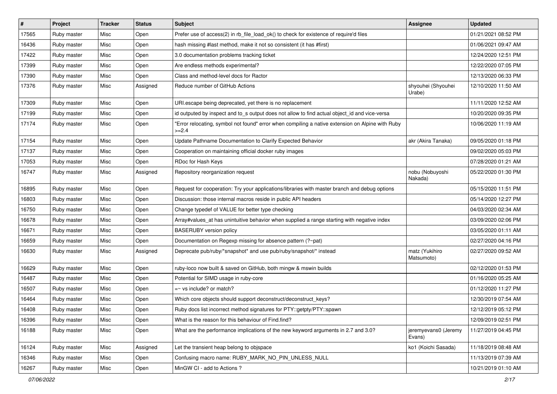| $\vert$ # | Project     | <b>Tracker</b> | <b>Status</b> | Subject                                                                                                     | Assignee                       | <b>Updated</b>      |
|-----------|-------------|----------------|---------------|-------------------------------------------------------------------------------------------------------------|--------------------------------|---------------------|
| 17565     | Ruby master | Misc           | Open          | Prefer use of access(2) in rb_file_load_ok() to check for existence of require'd files                      |                                | 01/21/2021 08:52 PM |
| 16436     | Ruby master | Misc           | Open          | hash missing #last method, make it not so consistent (it has #first)                                        |                                | 01/06/2021 09:47 AM |
| 17422     | Ruby master | Misc           | Open          | 3.0 documentation problems tracking ticket                                                                  |                                | 12/24/2020 12:51 PM |
| 17399     | Ruby master | Misc           | Open          | Are endless methods experimental?                                                                           |                                | 12/22/2020 07:05 PM |
| 17390     | Ruby master | Misc           | Open          | Class and method-level docs for Ractor                                                                      |                                | 12/13/2020 06:33 PM |
| 17376     | Ruby master | Misc           | Assigned      | Reduce number of GitHub Actions                                                                             | shyouhei (Shyouhei<br>Urabe)   | 12/10/2020 11:50 AM |
| 17309     | Ruby master | Misc           | Open          | URI.escape being deprecated, yet there is no replacement                                                    |                                | 11/11/2020 12:52 AM |
| 17199     | Ruby master | Misc           | Open          | id outputed by inspect and to_s output does not allow to find actual object_id and vice-versa               |                                | 10/20/2020 09:35 PM |
| 17174     | Ruby master | Misc           | Open          | 'Error relocating, symbol not found" error when compiling a native extension on Alpine with Ruby<br>$>=2.4$ |                                | 10/06/2020 11:19 AM |
| 17154     | Ruby master | Misc           | Open          | Update Pathname Documentation to Clarify Expected Behavior                                                  | akr (Akira Tanaka)             | 09/05/2020 01:18 PM |
| 17137     | Ruby master | Misc           | Open          | Cooperation on maintaining official docker ruby images                                                      |                                | 09/02/2020 05:03 PM |
| 17053     | Ruby master | Misc           | Open          | RDoc for Hash Keys                                                                                          |                                | 07/28/2020 01:21 AM |
| 16747     | Ruby master | Misc           | Assigned      | Repository reorganization request                                                                           | nobu (Nobuyoshi<br>Nakada)     | 05/22/2020 01:30 PM |
| 16895     | Ruby master | Misc           | Open          | Request for cooperation: Try your applications/libraries with master branch and debug options               |                                | 05/15/2020 11:51 PM |
| 16803     | Ruby master | Misc           | Open          | Discussion: those internal macros reside in public API headers                                              |                                | 05/14/2020 12:27 PM |
| 16750     | Ruby master | Misc           | Open          | Change typedef of VALUE for better type checking                                                            |                                | 04/03/2020 02:34 AM |
| 16678     | Ruby master | Misc           | Open          | Array#values_at has unintuitive behavior when supplied a range starting with negative index                 |                                | 03/09/2020 02:06 PM |
| 16671     | Ruby master | Misc           | Open          | <b>BASERUBY</b> version policy                                                                              |                                | 03/05/2020 01:11 AM |
| 16659     | Ruby master | Misc           | Open          | Documentation on Regexp missing for absence pattern (?~pat)                                                 |                                | 02/27/2020 04:16 PM |
| 16630     | Ruby master | Misc           | Assigned      | Deprecate pub/ruby/*snapshot* and use pub/ruby/snapshot/* instead                                           | matz (Yukihiro<br>Matsumoto)   | 02/27/2020 09:52 AM |
| 16629     | Ruby master | Misc           | Open          | ruby-loco now built & saved on GitHub, both mingw & mswin builds                                            |                                | 02/12/2020 01:53 PM |
| 16487     | Ruby master | Misc           | Open          | Potential for SIMD usage in ruby-core                                                                       |                                | 01/16/2020 05:25 AM |
| 16507     | Ruby master | Misc           | Open          | $=$ vs include? or match?                                                                                   |                                | 01/12/2020 11:27 PM |
| 16464     | Ruby master | Misc           | Open          | Which core objects should support deconstruct/deconstruct_keys?                                             |                                | 12/30/2019 07:54 AM |
| 16408     | Ruby master | Misc           | Open          | Ruby docs list incorrect method signatures for PTY::getpty/PTY::spawn                                       |                                | 12/12/2019 05:12 PM |
| 16396     | Ruby master | Misc           | Open          | What is the reason for this behaviour of Find.find?                                                         |                                | 12/09/2019 02:51 PM |
| 16188     | Ruby master | Misc           | Open          | What are the performance implications of the new keyword arguments in 2.7 and 3.0?                          | jeremyevans0 (Jeremy<br>Evans) | 11/27/2019 04:45 PM |
| 16124     | Ruby master | Misc           | Assigned      | Let the transient heap belong to objspace                                                                   | ko1 (Koichi Sasada)            | 11/18/2019 08:48 AM |
| 16346     | Ruby master | Misc           | Open          | Confusing macro name: RUBY_MARK_NO_PIN_UNLESS_NULL                                                          |                                | 11/13/2019 07:39 AM |
| 16267     | Ruby master | Misc           | Open          | MinGW CI - add to Actions ?                                                                                 |                                | 10/21/2019 01:10 AM |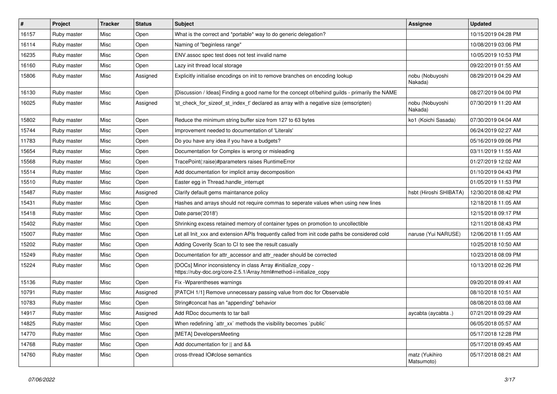| $\sharp$ | Project     | <b>Tracker</b> | <b>Status</b> | <b>Subject</b>                                                                                                                      | <b>Assignee</b>              | <b>Updated</b>      |
|----------|-------------|----------------|---------------|-------------------------------------------------------------------------------------------------------------------------------------|------------------------------|---------------------|
| 16157    | Ruby master | Misc           | Open          | What is the correct and *portable* way to do generic delegation?                                                                    |                              | 10/15/2019 04:28 PM |
| 16114    | Ruby master | Misc           | Open          | Naming of "beginless range"                                                                                                         |                              | 10/08/2019 03:06 PM |
| 16235    | Ruby master | Misc           | Open          | ENV assoc spec test does not test invalid name                                                                                      |                              | 10/05/2019 10:53 PM |
| 16160    | Ruby master | Misc           | Open          | Lazy init thread local storage                                                                                                      |                              | 09/22/2019 01:55 AM |
| 15806    | Ruby master | Misc           | Assigned      | Explicitly initialise encodings on init to remove branches on encoding lookup                                                       | nobu (Nobuyoshi<br>Nakada)   | 08/29/2019 04:29 AM |
| 16130    | Ruby master | Misc           | Open          | [Discussion / Ideas] Finding a good name for the concept of/behind guilds - primarily the NAME                                      |                              | 08/27/2019 04:00 PM |
| 16025    | Ruby master | Misc           | Assigned      | 'st_check_for_sizeof_st_index_t' declared as array with a negative size (emscripten)                                                | nobu (Nobuyoshi<br>Nakada)   | 07/30/2019 11:20 AM |
| 15802    | Ruby master | Misc           | Open          | Reduce the minimum string buffer size from 127 to 63 bytes                                                                          | ko1 (Koichi Sasada)          | 07/30/2019 04:04 AM |
| 15744    | Ruby master | Misc           | Open          | Improvement needed to documentation of 'Literals'                                                                                   |                              | 06/24/2019 02:27 AM |
| 11783    | Ruby master | Misc           | Open          | Do you have any idea if you have a budgets?                                                                                         |                              | 05/16/2019 09:06 PM |
| 15654    | Ruby master | Misc           | Open          | Documentation for Complex is wrong or misleading                                                                                    |                              | 03/11/2019 11:55 AM |
| 15568    | Ruby master | Misc           | Open          | TracePoint(:raise)#parameters raises RuntimeError                                                                                   |                              | 01/27/2019 12:02 AM |
| 15514    | Ruby master | Misc           | Open          | Add documentation for implicit array decomposition                                                                                  |                              | 01/10/2019 04:43 PM |
| 15510    | Ruby master | Misc           | Open          | Easter egg in Thread.handle_interrupt                                                                                               |                              | 01/05/2019 11:53 PM |
| 15487    | Ruby master | Misc           | Assigned      | Clarify default gems maintanance policy                                                                                             | hsbt (Hiroshi SHIBATA)       | 12/30/2018 08:42 PM |
| 15431    | Ruby master | Misc           | Open          | Hashes and arrays should not require commas to seperate values when using new lines                                                 |                              | 12/18/2018 11:05 AM |
| 15418    | Ruby master | Misc           | Open          | Date.parse('2018')                                                                                                                  |                              | 12/15/2018 09:17 PM |
| 15402    | Ruby master | Misc           | Open          | Shrinking excess retained memory of container types on promotion to uncollectible                                                   |                              | 12/11/2018 08:43 PM |
| 15007    | Ruby master | Misc           | Open          | Let all Init xxx and extension APIs frequently called from init code paths be considered cold                                       | naruse (Yui NARUSE)          | 12/06/2018 11:05 AM |
| 15202    | Ruby master | Misc           | Open          | Adding Coverity Scan to CI to see the result casually                                                                               |                              | 10/25/2018 10:50 AM |
| 15249    | Ruby master | Misc           | Open          | Documentation for attr_accessor and attr_reader should be corrected                                                                 |                              | 10/23/2018 08:09 PM |
| 15224    | Ruby master | Misc           | Open          | [DOCs] Minor inconsistency in class Array #initialize_copy -<br>https://ruby-doc.org/core-2.5.1/Array.html#method-i-initialize_copy |                              | 10/13/2018 02:26 PM |
| 15136    | Ruby master | Misc           | Open          | Fix - Wparentheses warnings                                                                                                         |                              | 09/20/2018 09:41 AM |
| 10791    | Ruby master | Misc           | Assigned      | [PATCH 1/1] Remove unnecessary passing value from doc for Observable                                                                |                              | 08/10/2018 10:51 AM |
| 10783    | Ruby master | Misc           | Open          | String#concat has an "appending" behavior                                                                                           |                              | 08/08/2018 03:08 AM |
| 14917    | Ruby master | Misc           | Assigned      | Add RDoc documents to tar ball                                                                                                      | aycabta (aycabta .)          | 07/21/2018 09:29 AM |
| 14825    | Ruby master | Misc           | Open          | When redefining 'attr_xx' methods the visibility becomes 'public'                                                                   |                              | 06/05/2018 05:57 AM |
| 14770    | Ruby master | Misc           | Open          | [META] DevelopersMeeting                                                                                                            |                              | 05/17/2018 12:28 PM |
| 14768    | Ruby master | Misc           | Open          | Add documentation for    and &&                                                                                                     |                              | 05/17/2018 09:45 AM |
| 14760    | Ruby master | Misc           | Open          | cross-thread IO#close semantics                                                                                                     | matz (Yukihiro<br>Matsumoto) | 05/17/2018 08:21 AM |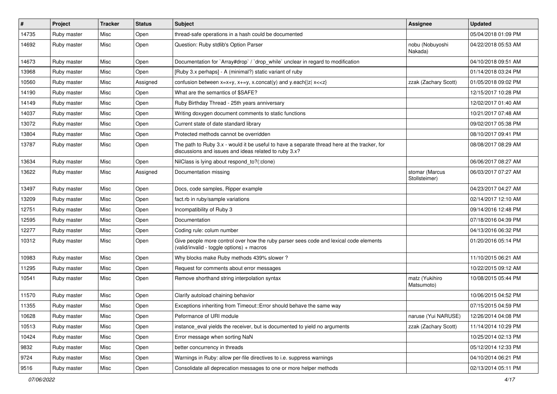| #     | Project     | <b>Tracker</b> | <b>Status</b> | <b>Subject</b>                                                                                                                                        | Assignee                        | <b>Updated</b>      |
|-------|-------------|----------------|---------------|-------------------------------------------------------------------------------------------------------------------------------------------------------|---------------------------------|---------------------|
| 14735 | Ruby master | Misc           | Open          | thread-safe operations in a hash could be documented                                                                                                  |                                 | 05/04/2018 01:09 PM |
| 14692 | Ruby master | Misc           | Open          | Question: Ruby stdlib's Option Parser                                                                                                                 | nobu (Nobuyoshi<br>Nakada)      | 04/22/2018 05:53 AM |
| 14673 | Ruby master | Misc           | Open          | Documentation for `Array#drop` / `drop_while` unclear in regard to modification                                                                       |                                 | 04/10/2018 09:51 AM |
| 13968 | Ruby master | Misc           | Open          | [Ruby 3.x perhaps] - A (minimal?) static variant of ruby                                                                                              |                                 | 01/14/2018 03:24 PM |
| 10560 | Ruby master | Misc           | Assigned      | confusion between $x=x+y$ , $x+=y$ , x.concat(y) and y.each{ z  $x<}$                                                                                 | zzak (Zachary Scott)            | 01/05/2018 09:02 PM |
| 14190 | Ruby master | Misc           | Open          | What are the semantics of \$SAFE?                                                                                                                     |                                 | 12/15/2017 10:28 PM |
| 14149 | Ruby master | Misc           | Open          | Ruby Birthday Thread - 25th years anniversary                                                                                                         |                                 | 12/02/2017 01:40 AM |
| 14037 | Ruby master | Misc           | Open          | Writing doxygen document comments to static functions                                                                                                 |                                 | 10/21/2017 07:48 AM |
| 13072 | Ruby master | Misc           | Open          | Current state of date standard library                                                                                                                |                                 | 09/02/2017 05:38 PM |
| 13804 | Ruby master | Misc           | Open          | Protected methods cannot be overridden                                                                                                                |                                 | 08/10/2017 09:41 PM |
| 13787 | Ruby master | Misc           | Open          | The path to Ruby 3.x - would it be useful to have a separate thread here at the tracker, for<br>discussions and issues and ideas related to ruby 3.x? |                                 | 08/08/2017 08:29 AM |
| 13634 | Ruby master | Misc           | Open          | NilClass is lying about respond to?(:clone)                                                                                                           |                                 | 06/06/2017 08:27 AM |
| 13622 | Ruby master | Misc           | Assigned      | Documentation missing                                                                                                                                 | stomar (Marcus<br>Stollsteimer) | 06/03/2017 07:27 AM |
| 13497 | Ruby master | Misc           | Open          | Docs, code samples, Ripper example                                                                                                                    |                                 | 04/23/2017 04:27 AM |
| 13209 | Ruby master | Misc           | Open          | fact.rb in ruby/sample variations                                                                                                                     |                                 | 02/14/2017 12:10 AM |
| 12751 | Ruby master | Misc           | Open          | Incompatibility of Ruby 3                                                                                                                             |                                 | 09/14/2016 12:48 PM |
| 12595 | Ruby master | Misc           | Open          | Documentation                                                                                                                                         |                                 | 07/18/2016 04:39 PM |
| 12277 | Ruby master | Misc           | Open          | Coding rule: colum number                                                                                                                             |                                 | 04/13/2016 06:32 PM |
| 10312 | Ruby master | Misc           | Open          | Give people more control over how the ruby parser sees code and lexical code elements<br>(valid/invalid - toggle options) + macros                    |                                 | 01/20/2016 05:14 PM |
| 10983 | Ruby master | Misc           | Open          | Why blocks make Ruby methods 439% slower?                                                                                                             |                                 | 11/10/2015 06:21 AM |
| 11295 | Ruby master | Misc           | Open          | Request for comments about error messages                                                                                                             |                                 | 10/22/2015 09:12 AM |
| 10541 | Ruby master | Misc           | Open          | Remove shorthand string interpolation syntax                                                                                                          | matz (Yukihiro<br>Matsumoto)    | 10/08/2015 05:44 PM |
| 11570 | Ruby master | Misc           | Open          | Clarify autoload chaining behavior                                                                                                                    |                                 | 10/06/2015 04:52 PM |
| 11355 | Ruby master | Misc           | Open          | Exceptions inheriting from Timeout:: Error should behave the same way                                                                                 |                                 | 07/15/2015 04:59 PM |
| 10628 | Ruby master | Misc           | Open          | Peformance of URI module                                                                                                                              | naruse (Yui NARUSE)             | 12/26/2014 04:08 PM |
| 10513 | Ruby master | Misc           | Open          | instance_eval yields the receiver, but is documented to yield no arguments                                                                            | zzak (Zachary Scott)            | 11/14/2014 10:29 PM |
| 10424 | Ruby master | Misc           | Open          | Error message when sorting NaN                                                                                                                        |                                 | 10/25/2014 02:13 PM |
| 9832  | Ruby master | Misc           | Open          | better concurrency in threads                                                                                                                         |                                 | 05/12/2014 12:33 PM |
| 9724  | Ruby master | Misc           | Open          | Warnings in Ruby: allow per-file directives to i.e. suppress warnings                                                                                 |                                 | 04/10/2014 06:21 PM |
| 9516  | Ruby master | Misc           | Open          | Consolidate all deprecation messages to one or more helper methods                                                                                    |                                 | 02/13/2014 05:11 PM |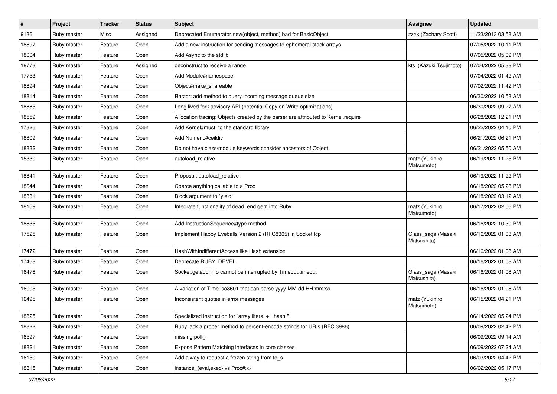| $\vert$ # | Project     | <b>Tracker</b> | <b>Status</b> | <b>Subject</b>                                                                     | Assignee                          | <b>Updated</b>      |
|-----------|-------------|----------------|---------------|------------------------------------------------------------------------------------|-----------------------------------|---------------------|
| 9136      | Ruby master | Misc           | Assigned      | Deprecated Enumerator.new(object, method) bad for BasicObject                      | zzak (Zachary Scott)              | 11/23/2013 03:58 AM |
| 18897     | Ruby master | Feature        | Open          | Add a new instruction for sending messages to ephemeral stack arrays               |                                   | 07/05/2022 10:11 PM |
| 18004     | Ruby master | Feature        | Open          | Add Async to the stdlib                                                            |                                   | 07/05/2022 05:09 PM |
| 18773     | Ruby master | Feature        | Assigned      | deconstruct to receive a range                                                     | ktsj (Kazuki Tsujimoto)           | 07/04/2022 05:38 PM |
| 17753     | Ruby master | Feature        | Open          | Add Module#namespace                                                               |                                   | 07/04/2022 01:42 AM |
| 18894     | Ruby master | Feature        | Open          | Object#make shareable                                                              |                                   | 07/02/2022 11:42 PM |
| 18814     | Ruby master | Feature        | Open          | Ractor: add method to query incoming message queue size                            |                                   | 06/30/2022 10:58 AM |
| 18885     | Ruby master | Feature        | Open          | Long lived fork advisory API (potential Copy on Write optimizations)               |                                   | 06/30/2022 09:27 AM |
| 18559     | Ruby master | Feature        | Open          | Allocation tracing: Objects created by the parser are attributed to Kernel.require |                                   | 06/28/2022 12:21 PM |
| 17326     | Ruby master | Feature        | Open          | Add Kernel#must! to the standard library                                           |                                   | 06/22/2022 04:10 PM |
| 18809     | Ruby master | Feature        | Open          | Add Numeric#ceildiv                                                                |                                   | 06/21/2022 06:21 PM |
| 18832     | Ruby master | Feature        | Open          | Do not have class/module keywords consider ancestors of Object                     |                                   | 06/21/2022 05:50 AM |
| 15330     | Ruby master | Feature        | Open          | autoload_relative                                                                  | matz (Yukihiro<br>Matsumoto)      | 06/19/2022 11:25 PM |
| 18841     | Ruby master | Feature        | Open          | Proposal: autoload relative                                                        |                                   | 06/19/2022 11:22 PM |
| 18644     | Ruby master | Feature        | Open          | Coerce anything callable to a Proc                                                 |                                   | 06/18/2022 05:28 PM |
| 18831     | Ruby master | Feature        | Open          | Block argument to 'yield'                                                          |                                   | 06/18/2022 03:12 AM |
| 18159     | Ruby master | Feature        | Open          | Integrate functionality of dead_end gem into Ruby                                  | matz (Yukihiro<br>Matsumoto)      | 06/17/2022 02:06 PM |
| 18835     | Ruby master | Feature        | Open          | Add InstructionSequence#type method                                                |                                   | 06/16/2022 10:30 PM |
| 17525     | Ruby master | Feature        | Open          | Implement Happy Eyeballs Version 2 (RFC8305) in Socket.tcp                         | Glass_saga (Masaki<br>Matsushita) | 06/16/2022 01:08 AM |
| 17472     | Ruby master | Feature        | Open          | HashWithIndifferentAccess like Hash extension                                      |                                   | 06/16/2022 01:08 AM |
| 17468     | Ruby master | Feature        | Open          | Deprecate RUBY_DEVEL                                                               |                                   | 06/16/2022 01:08 AM |
| 16476     | Ruby master | Feature        | Open          | Socket.getaddrinfo cannot be interrupted by Timeout.timeout                        | Glass_saga (Masaki<br>Matsushita) | 06/16/2022 01:08 AM |
| 16005     | Ruby master | Feature        | Open          | A variation of Time.iso8601 that can parse yyyy-MM-dd HH:mm:ss                     |                                   | 06/16/2022 01:08 AM |
| 16495     | Ruby master | Feature        | Open          | Inconsistent quotes in error messages                                              | matz (Yukihiro<br>Matsumoto)      | 06/15/2022 04:21 PM |
| 18825     | Ruby master | Feature        | Open          | Specialized instruction for "array literal + `.hash`"                              |                                   | 06/14/2022 05:24 PM |
| 18822     | Ruby master | Feature        | Open          | Ruby lack a proper method to percent-encode strings for URIs (RFC 3986)            |                                   | 06/09/2022 02:42 PM |
| 16597     | Ruby master | Feature        | Open          | $missing$ poll()                                                                   |                                   | 06/09/2022 09:14 AM |
| 18821     | Ruby master | Feature        | Open          | Expose Pattern Matching interfaces in core classes                                 |                                   | 06/09/2022 07:24 AM |
| 16150     | Ruby master | Feature        | Open          | Add a way to request a frozen string from to s                                     |                                   | 06/03/2022 04:42 PM |
| 18815     | Ruby master | Feature        | Open          | instance_{eval,exec} vs Proc#>>                                                    |                                   | 06/02/2022 05:17 PM |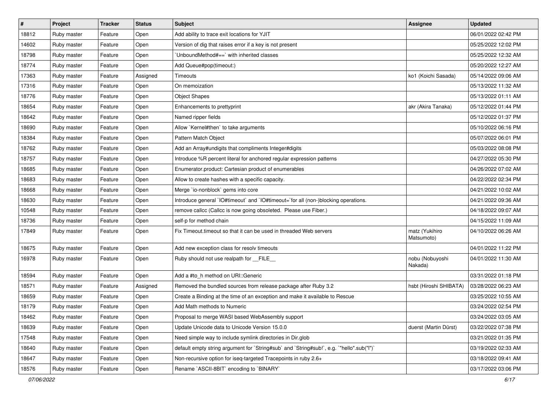| #     | Project     | <b>Tracker</b> | <b>Status</b> | <b>Subject</b>                                                                            | <b>Assignee</b>              | <b>Updated</b>      |
|-------|-------------|----------------|---------------|-------------------------------------------------------------------------------------------|------------------------------|---------------------|
| 18812 | Ruby master | Feature        | Open          | Add ability to trace exit locations for YJIT                                              |                              | 06/01/2022 02:42 PM |
| 14602 | Ruby master | Feature        | Open          | Version of dig that raises error if a key is not present                                  |                              | 05/25/2022 12:02 PM |
| 18798 | Ruby master | Feature        | Open          | UnboundMethod#==`with inherited classes                                                   |                              | 05/25/2022 12:32 AM |
| 18774 | Ruby master | Feature        | Open          | Add Queue#pop(timeout:)                                                                   |                              | 05/20/2022 12:27 AM |
| 17363 | Ruby master | Feature        | Assigned      | Timeouts                                                                                  | ko1 (Koichi Sasada)          | 05/14/2022 09:06 AM |
| 17316 | Ruby master | Feature        | Open          | On memoization                                                                            |                              | 05/13/2022 11:32 AM |
| 18776 | Ruby master | Feature        | Open          | <b>Object Shapes</b>                                                                      |                              | 05/13/2022 01:11 AM |
| 18654 | Ruby master | Feature        | Open          | Enhancements to prettyprint                                                               | akr (Akira Tanaka)           | 05/12/2022 01:44 PM |
| 18642 | Ruby master | Feature        | Open          | Named ripper fields                                                                       |                              | 05/12/2022 01:37 PM |
| 18690 | Ruby master | Feature        | Open          | Allow `Kernel#then` to take arguments                                                     |                              | 05/10/2022 06:16 PM |
| 18384 | Ruby master | Feature        | Open          | Pattern Match Object                                                                      |                              | 05/07/2022 06:01 PM |
| 18762 | Ruby master | Feature        | Open          | Add an Array#undigits that compliments Integer#digits                                     |                              | 05/03/2022 08:08 PM |
| 18757 | Ruby master | Feature        | Open          | Introduce %R percent literal for anchored regular expression patterns                     |                              | 04/27/2022 05:30 PM |
| 18685 | Ruby master | Feature        | Open          | Enumerator.product: Cartesian product of enumerables                                      |                              | 04/26/2022 07:02 AM |
| 18683 | Ruby master | Feature        | Open          | Allow to create hashes with a specific capacity.                                          |                              | 04/22/2022 02:34 PM |
| 18668 | Ruby master | Feature        | Open          | Merge `io-nonblock` gems into core                                                        |                              | 04/21/2022 10:02 AM |
| 18630 | Ruby master | Feature        | Open          | Introduce general `IO#timeout` and `IO#timeout=`for all (non-)blocking operations.        |                              | 04/21/2022 09:36 AM |
| 10548 | Ruby master | Feature        | Open          | remove callcc (Callcc is now going obsoleted. Please use Fiber.)                          |                              | 04/18/2022 09:07 AM |
| 18736 | Ruby master | Feature        | Open          | self-p for method chain                                                                   |                              | 04/15/2022 11:09 AM |
| 17849 | Ruby master | Feature        | Open          | Fix Timeout.timeout so that it can be used in threaded Web servers                        | matz (Yukihiro<br>Matsumoto) | 04/10/2022 06:26 AM |
| 18675 | Ruby master | Feature        | Open          | Add new exception class for resolv timeouts                                               |                              | 04/01/2022 11:22 PM |
| 16978 | Ruby master | Feature        | Open          | Ruby should not use realpath for FILE                                                     | nobu (Nobuyoshi<br>Nakada)   | 04/01/2022 11:30 AM |
| 18594 | Ruby master | Feature        | Open          | Add a #to_h method on URI::Generic                                                        |                              | 03/31/2022 01:18 PM |
| 18571 | Ruby master | Feature        | Assigned      | Removed the bundled sources from release package after Ruby 3.2                           | hsbt (Hiroshi SHIBATA)       | 03/28/2022 06:23 AM |
| 18659 | Ruby master | Feature        | Open          | Create a Binding at the time of an exception and make it available to Rescue              |                              | 03/25/2022 10:55 AM |
| 18179 | Ruby master | Feature        | Open          | Add Math methods to Numeric                                                               |                              | 03/24/2022 02:54 PM |
| 18462 | Ruby master | Feature        | Open          | Proposal to merge WASI based WebAssembly support                                          |                              | 03/24/2022 03:05 AM |
| 18639 | Ruby master | Feature        | Open          | Update Unicode data to Unicode Version 15.0.0                                             | duerst (Martin Dürst)        | 03/22/2022 07:38 PM |
| 17548 | Ruby master | Feature        | Open          | Need simple way to include symlink directories in Dir.glob                                |                              | 03/21/2022 01:35 PM |
| 18640 | Ruby master | Feature        | Open          | default empty string argument for `String#sub` and `String#sub!`, e.g. `"hello".sub("I")` |                              | 03/19/2022 02:33 AM |
| 18647 | Ruby master | Feature        | Open          | Non-recursive option for iseq-targeted Tracepoints in ruby 2.6+                           |                              | 03/18/2022 09:41 AM |
| 18576 | Ruby master | Feature        | Open          | Rename `ASCII-8BIT` encoding to `BINARY`                                                  |                              | 03/17/2022 03:06 PM |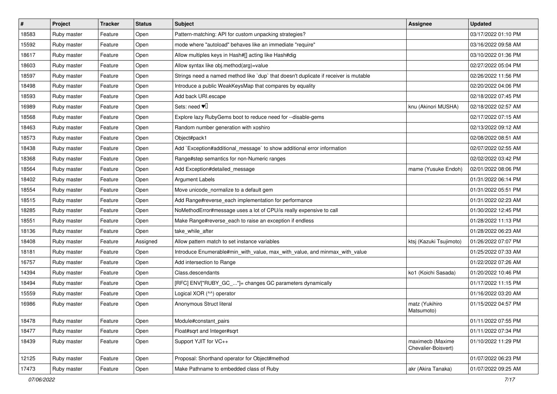| $\sharp$ | Project     | <b>Tracker</b> | <b>Status</b> | <b>Subject</b>                                                                       | Assignee                                | <b>Updated</b>      |
|----------|-------------|----------------|---------------|--------------------------------------------------------------------------------------|-----------------------------------------|---------------------|
| 18583    | Ruby master | Feature        | Open          | Pattern-matching: API for custom unpacking strategies?                               |                                         | 03/17/2022 01:10 PM |
| 15592    | Ruby master | Feature        | Open          | mode where "autoload" behaves like an immediate "require"                            |                                         | 03/16/2022 09:58 AM |
| 18617    | Ruby master | Feature        | Open          | Allow multiples keys in Hash#[] acting like Hash#dig                                 |                                         | 03/10/2022 01:36 PM |
| 18603    | Ruby master | Feature        | Open          | Allow syntax like obj.method(arg)=value                                              |                                         | 02/27/2022 05:04 PM |
| 18597    | Ruby master | Feature        | Open          | Strings need a named method like 'dup' that doesn't duplicate if receiver is mutable |                                         | 02/26/2022 11:56 PM |
| 18498    | Ruby master | Feature        | Open          | Introduce a public WeakKeysMap that compares by equality                             |                                         | 02/20/2022 04:06 PM |
| 18593    | Ruby master | Feature        | Open          | Add back URI.escape                                                                  |                                         | 02/18/2022 07:45 PM |
| 16989    | Ruby master | Feature        | Open          | Sets: need $\Psi$ <sup>[]</sup>                                                      | knu (Akinori MUSHA)                     | 02/18/2022 02:57 AM |
| 18568    | Ruby master | Feature        | Open          | Explore lazy RubyGems boot to reduce need for --disable-gems                         |                                         | 02/17/2022 07:15 AM |
| 18463    | Ruby master | Feature        | Open          | Random number generation with xoshiro                                                |                                         | 02/13/2022 09:12 AM |
| 18573    | Ruby master | Feature        | Open          | Object#pack1                                                                         |                                         | 02/08/2022 08:51 AM |
| 18438    | Ruby master | Feature        | Open          | Add `Exception#additional_message` to show additional error information              |                                         | 02/07/2022 02:55 AM |
| 18368    | Ruby master | Feature        | Open          | Range#step semantics for non-Numeric ranges                                          |                                         | 02/02/2022 03:42 PM |
| 18564    | Ruby master | Feature        | Open          | Add Exception#detailed_message                                                       | mame (Yusuke Endoh)                     | 02/01/2022 08:06 PM |
| 18402    | Ruby master | Feature        | Open          | <b>Argument Labels</b>                                                               |                                         | 01/31/2022 06:14 PM |
| 18554    | Ruby master | Feature        | Open          | Move unicode_normalize to a default gem                                              |                                         | 01/31/2022 05:51 PM |
| 18515    | Ruby master | Feature        | Open          | Add Range#reverse_each implementation for performance                                |                                         | 01/31/2022 02:23 AM |
| 18285    | Ruby master | Feature        | Open          | NoMethodError#message uses a lot of CPU/is really expensive to call                  |                                         | 01/30/2022 12:45 PM |
| 18551    | Ruby master | Feature        | Open          | Make Range#reverse_each to raise an exception if endless                             |                                         | 01/28/2022 11:13 PM |
| 18136    | Ruby master | Feature        | Open          | take_while_after                                                                     |                                         | 01/28/2022 06:23 AM |
| 18408    | Ruby master | Feature        | Assigned      | Allow pattern match to set instance variables                                        | ktsj (Kazuki Tsujimoto)                 | 01/26/2022 07:07 PM |
| 18181    | Ruby master | Feature        | Open          | Introduce Enumerable#min_with_value, max_with_value, and minmax_with_value           |                                         | 01/25/2022 07:33 AM |
| 16757    | Ruby master | Feature        | Open          | Add intersection to Range                                                            |                                         | 01/22/2022 07:26 AM |
| 14394    | Ruby master | Feature        | Open          | Class.descendants                                                                    | ko1 (Koichi Sasada)                     | 01/20/2022 10:46 PM |
| 18494    | Ruby master | Feature        | Open          | [RFC] ENV["RUBY_GC_"]= changes GC parameters dynamically                             |                                         | 01/17/2022 11:15 PM |
| 15559    | Ruby master | Feature        | Open          | Logical XOR (^^) operator                                                            |                                         | 01/16/2022 03:20 AM |
| 16986    | Ruby master | Feature        | Open          | Anonymous Struct literal                                                             | matz (Yukihiro<br>Matsumoto)            | 01/15/2022 04:57 PM |
| 18478    | Ruby master | Feature        | Open          | Module#constant pairs                                                                |                                         | 01/11/2022 07:55 PM |
| 18477    | Ruby master | Feature        | Open          | Float#sqrt and Integer#sqrt                                                          |                                         | 01/11/2022 07:34 PM |
| 18439    | Ruby master | Feature        | Open          | Support YJIT for VC++                                                                | maximecb (Maxime<br>Chevalier-Boisvert) | 01/10/2022 11:29 PM |
| 12125    | Ruby master | Feature        | Open          | Proposal: Shorthand operator for Object#method                                       |                                         | 01/07/2022 06:23 PM |
| 17473    | Ruby master | Feature        | Open          | Make Pathname to embedded class of Ruby                                              | akr (Akira Tanaka)                      | 01/07/2022 09:25 AM |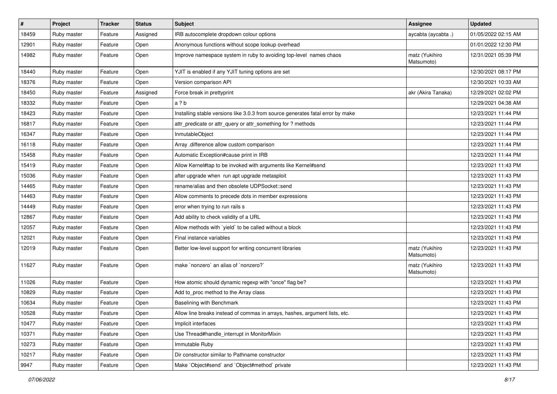| $\sharp$ | Project     | <b>Tracker</b> | <b>Status</b> | Subject                                                                         | Assignee                     | <b>Updated</b>      |
|----------|-------------|----------------|---------------|---------------------------------------------------------------------------------|------------------------------|---------------------|
| 18459    | Ruby master | Feature        | Assigned      | IRB autocomplete dropdown colour options                                        | aycabta (aycabta.)           | 01/05/2022 02:15 AM |
| 12901    | Ruby master | Feature        | Open          | Anonymous functions without scope lookup overhead                               |                              | 01/01/2022 12:30 PM |
| 14982    | Ruby master | Feature        | Open          | Improve namespace system in ruby to avoiding top-level names chaos              | matz (Yukihiro<br>Matsumoto) | 12/31/2021 05:39 PM |
| 18440    | Ruby master | Feature        | Open          | YJIT is enabled if any YJIT tuning options are set                              |                              | 12/30/2021 08:17 PM |
| 18376    | Ruby master | Feature        | Open          | Version comparison API                                                          |                              | 12/30/2021 10:33 AM |
| 18450    | Ruby master | Feature        | Assigned      | Force break in prettyprint                                                      | akr (Akira Tanaka)           | 12/29/2021 02:02 PM |
| 18332    | Ruby master | Feature        | Open          | a ? b                                                                           |                              | 12/29/2021 04:38 AM |
| 18423    | Ruby master | Feature        | Open          | Installing stable versions like 3.0.3 from source generates fatal error by make |                              | 12/23/2021 11:44 PM |
| 16817    | Ruby master | Feature        | Open          | attr_predicate or attr_query or attr_something for ? methods                    |                              | 12/23/2021 11:44 PM |
| 16347    | Ruby master | Feature        | Open          | InmutableObject                                                                 |                              | 12/23/2021 11:44 PM |
| 16118    | Ruby master | Feature        | Open          | Array .difference allow custom comparison                                       |                              | 12/23/2021 11:44 PM |
| 15458    | Ruby master | Feature        | Open          | Automatic Exception#cause print in IRB                                          |                              | 12/23/2021 11:44 PM |
| 15419    | Ruby master | Feature        | Open          | Allow Kernel#tap to be invoked with arguments like Kernel#send                  |                              | 12/23/2021 11:43 PM |
| 15036    | Ruby master | Feature        | Open          | after upgrade when run apt upgrade metasploit                                   |                              | 12/23/2021 11:43 PM |
| 14465    | Ruby master | Feature        | Open          | rename/alias and then obsolete UDPSocket::send                                  |                              | 12/23/2021 11:43 PM |
| 14463    | Ruby master | Feature        | Open          | Allow comments to precede dots in member expressions                            |                              | 12/23/2021 11:43 PM |
| 14449    | Ruby master | Feature        | Open          | error when trying to run rails s                                                |                              | 12/23/2021 11:43 PM |
| 12867    | Ruby master | Feature        | Open          | Add ability to check validity of a URL                                          |                              | 12/23/2021 11:43 PM |
| 12057    | Ruby master | Feature        | Open          | Allow methods with `yield` to be called without a block                         |                              | 12/23/2021 11:43 PM |
| 12021    | Ruby master | Feature        | Open          | Final instance variables                                                        |                              | 12/23/2021 11:43 PM |
| 12019    | Ruby master | Feature        | Open          | Better low-level support for writing concurrent libraries                       | matz (Yukihiro<br>Matsumoto) | 12/23/2021 11:43 PM |
| 11627    | Ruby master | Feature        | Open          | make `nonzero` an alias of `nonzero?`                                           | matz (Yukihiro<br>Matsumoto) | 12/23/2021 11:43 PM |
| 11026    | Ruby master | Feature        | Open          | How atomic should dynamic regexp with "once" flag be?                           |                              | 12/23/2021 11:43 PM |
| 10829    | Ruby master | Feature        | Open          | Add to_proc method to the Array class                                           |                              | 12/23/2021 11:43 PM |
| 10634    | Ruby master | Feature        | Open          | Baselining with Benchmark                                                       |                              | 12/23/2021 11:43 PM |
| 10528    | Ruby master | Feature        | Open          | Allow line breaks instead of commas in arrays, hashes, argument lists, etc.     |                              | 12/23/2021 11:43 PM |
| 10477    | Ruby master | Feature        | Open          | Implicit interfaces                                                             |                              | 12/23/2021 11:43 PM |
| 10371    | Ruby master | Feature        | Open          | Use Thread#handle_interrupt in MonitorMixin                                     |                              | 12/23/2021 11:43 PM |
| 10273    | Ruby master | Feature        | Open          | Immutable Ruby                                                                  |                              | 12/23/2021 11:43 PM |
| 10217    | Ruby master | Feature        | Open          | Dir constructor similar to Pathname constructor                                 |                              | 12/23/2021 11:43 PM |
| 9947     | Ruby master | Feature        | Open          | Make `Object#send` and `Object#method` private                                  |                              | 12/23/2021 11:43 PM |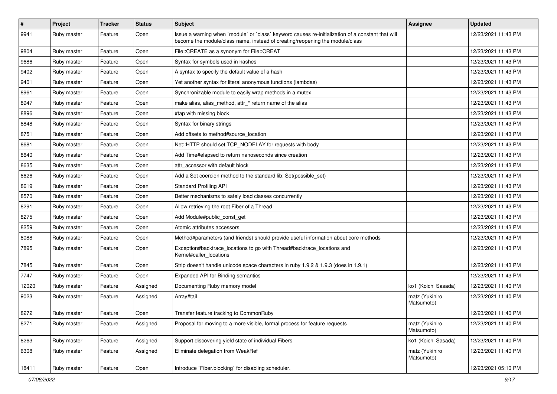| $\sharp$ | Project     | <b>Tracker</b> | <b>Status</b> | Subject                                                                                                                                                                           | Assignee                     | <b>Updated</b>      |
|----------|-------------|----------------|---------------|-----------------------------------------------------------------------------------------------------------------------------------------------------------------------------------|------------------------------|---------------------|
| 9941     | Ruby master | Feature        | Open          | Issue a warning when `module` or `class` keyword causes re-initialization of a constant that will<br>become the module/class name, instead of creating/reopening the module/class |                              | 12/23/2021 11:43 PM |
| 9804     | Ruby master | Feature        | Open          | File::CREATE as a synonym for File::CREAT                                                                                                                                         |                              | 12/23/2021 11:43 PM |
| 9686     | Ruby master | Feature        | Open          | Syntax for symbols used in hashes                                                                                                                                                 |                              | 12/23/2021 11:43 PM |
| 9402     | Ruby master | Feature        | Open          | A syntax to specify the default value of a hash                                                                                                                                   |                              | 12/23/2021 11:43 PM |
| 9401     | Ruby master | Feature        | Open          | Yet another syntax for literal anonymous functions (lambdas)                                                                                                                      |                              | 12/23/2021 11:43 PM |
| 8961     | Ruby master | Feature        | Open          | Synchronizable module to easily wrap methods in a mutex                                                                                                                           |                              | 12/23/2021 11:43 PM |
| 8947     | Ruby master | Feature        | Open          | make alias, alias_method, attr_* return name of the alias                                                                                                                         |                              | 12/23/2021 11:43 PM |
| 8896     | Ruby master | Feature        | Open          | #tap with missing block                                                                                                                                                           |                              | 12/23/2021 11:43 PM |
| 8848     | Ruby master | Feature        | Open          | Syntax for binary strings                                                                                                                                                         |                              | 12/23/2021 11:43 PM |
| 8751     | Ruby master | Feature        | Open          | Add offsets to method#source location                                                                                                                                             |                              | 12/23/2021 11:43 PM |
| 8681     | Ruby master | Feature        | Open          | Net::HTTP should set TCP_NODELAY for requests with body                                                                                                                           |                              | 12/23/2021 11:43 PM |
| 8640     | Ruby master | Feature        | Open          | Add Time#elapsed to return nanoseconds since creation                                                                                                                             |                              | 12/23/2021 11:43 PM |
| 8635     | Ruby master | Feature        | Open          | attr accessor with default block                                                                                                                                                  |                              | 12/23/2021 11:43 PM |
| 8626     | Ruby master | Feature        | Open          | Add a Set coercion method to the standard lib: Set(possible_set)                                                                                                                  |                              | 12/23/2021 11:43 PM |
| 8619     | Ruby master | Feature        | Open          | <b>Standard Profiling API</b>                                                                                                                                                     |                              | 12/23/2021 11:43 PM |
| 8570     | Ruby master | Feature        | Open          | Better mechanisms to safely load classes concurrently                                                                                                                             |                              | 12/23/2021 11:43 PM |
| 8291     | Ruby master | Feature        | Open          | Allow retrieving the root Fiber of a Thread                                                                                                                                       |                              | 12/23/2021 11:43 PM |
| 8275     | Ruby master | Feature        | Open          | Add Module#public_const_get                                                                                                                                                       |                              | 12/23/2021 11:43 PM |
| 8259     | Ruby master | Feature        | Open          | Atomic attributes accessors                                                                                                                                                       |                              | 12/23/2021 11:43 PM |
| 8088     | Ruby master | Feature        | Open          | Method#parameters (and friends) should provide useful information about core methods                                                                                              |                              | 12/23/2021 11:43 PM |
| 7895     | Ruby master | Feature        | Open          | Exception#backtrace_locations to go with Thread#backtrace_locations and<br>Kernel#caller_locations                                                                                |                              | 12/23/2021 11:43 PM |
| 7845     | Ruby master | Feature        | Open          | Strip doesn't handle unicode space characters in ruby 1.9.2 & 1.9.3 (does in 1.9.1)                                                                                               |                              | 12/23/2021 11:43 PM |
| 7747     | Ruby master | Feature        | Open          | Expanded API for Binding semantics                                                                                                                                                |                              | 12/23/2021 11:43 PM |
| 12020    | Ruby master | Feature        | Assigned      | Documenting Ruby memory model                                                                                                                                                     | ko1 (Koichi Sasada)          | 12/23/2021 11:40 PM |
| 9023     | Ruby master | Feature        | Assigned      | Array#tail                                                                                                                                                                        | matz (Yukihiro<br>Matsumoto) | 12/23/2021 11:40 PM |
| 8272     | Ruby master | Feature        | Open          | Transfer feature tracking to CommonRuby                                                                                                                                           |                              | 12/23/2021 11:40 PM |
| 8271     | Ruby master | Feature        | Assigned      | Proposal for moving to a more visible, formal process for feature requests                                                                                                        | matz (Yukihiro<br>Matsumoto) | 12/23/2021 11:40 PM |
| 8263     | Ruby master | Feature        | Assigned      | Support discovering yield state of individual Fibers                                                                                                                              | ko1 (Koichi Sasada)          | 12/23/2021 11:40 PM |
| 6308     | Ruby master | Feature        | Assigned      | Eliminate delegation from WeakRef                                                                                                                                                 | matz (Yukihiro<br>Matsumoto) | 12/23/2021 11:40 PM |
| 18411    | Ruby master | Feature        | Open          | Introduce `Fiber.blocking` for disabling scheduler.                                                                                                                               |                              | 12/23/2021 05:10 PM |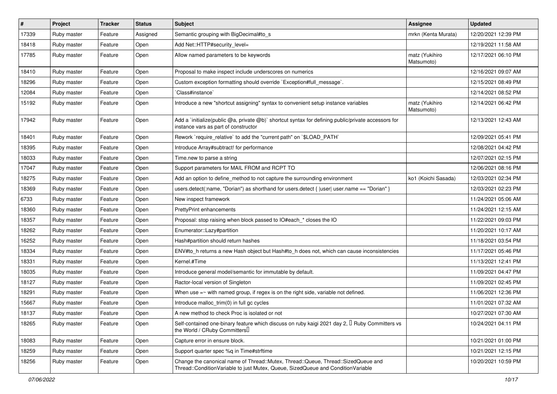| #     | Project     | <b>Tracker</b> | <b>Status</b> | <b>Subject</b>                                                                                                                                                        | Assignee                     | <b>Updated</b>      |
|-------|-------------|----------------|---------------|-----------------------------------------------------------------------------------------------------------------------------------------------------------------------|------------------------------|---------------------|
| 17339 | Ruby master | Feature        | Assigned      | Semantic grouping with BigDecimal#to_s                                                                                                                                | mrkn (Kenta Murata)          | 12/20/2021 12:39 PM |
| 18418 | Ruby master | Feature        | Open          | Add Net::HTTP#security_level=                                                                                                                                         |                              | 12/19/2021 11:58 AM |
| 17785 | Ruby master | Feature        | Open          | Allow named parameters to be keywords                                                                                                                                 | matz (Yukihiro<br>Matsumoto) | 12/17/2021 06:10 PM |
| 18410 | Ruby master | Feature        | Open          | Proposal to make inspect include underscores on numerics                                                                                                              |                              | 12/16/2021 09:07 AM |
| 18296 | Ruby master | Feature        | Open          | Custom exception formatting should override `Exception#full_message`.                                                                                                 |                              | 12/15/2021 08:49 PM |
| 12084 | Ruby master | Feature        | Open          | Class#instance`                                                                                                                                                       |                              | 12/14/2021 08:52 PM |
| 15192 | Ruby master | Feature        | Open          | Introduce a new "shortcut assigning" syntax to convenient setup instance variables                                                                                    | matz (Yukihiro<br>Matsumoto) | 12/14/2021 06:42 PM |
| 17942 | Ruby master | Feature        | Open          | Add a `initialize(public @a, private @b)` shortcut syntax for defining public/private accessors for<br>instance vars as part of constructor                           |                              | 12/13/2021 12:43 AM |
| 18401 | Ruby master | Feature        | Open          | Rework `require_relative` to add the "current path" on `\$LOAD_PATH`                                                                                                  |                              | 12/09/2021 05:41 PM |
| 18395 | Ruby master | Feature        | Open          | Introduce Array#subtract! for performance                                                                                                                             |                              | 12/08/2021 04:42 PM |
| 18033 | Ruby master | Feature        | Open          | Time.new to parse a string                                                                                                                                            |                              | 12/07/2021 02:15 PM |
| 17047 | Ruby master | Feature        | Open          | Support parameters for MAIL FROM and RCPT TO                                                                                                                          |                              | 12/06/2021 08:16 PM |
| 18275 | Ruby master | Feature        | Open          | Add an option to define method to not capture the surrounding environment                                                                                             | ko1 (Koichi Sasada)          | 12/03/2021 02:34 PM |
| 18369 | Ruby master | Feature        | Open          | users.detect(:name, "Dorian") as shorthand for users.detect { $ user $ user.name == "Dorian" }                                                                        |                              | 12/03/2021 02:23 PM |
| 6733  | Ruby master | Feature        | Open          | New inspect framework                                                                                                                                                 |                              | 11/24/2021 05:06 AM |
| 18360 | Ruby master | Feature        | Open          | <b>PrettyPrint enhancements</b>                                                                                                                                       |                              | 11/24/2021 12:15 AM |
| 18357 | Ruby master | Feature        | Open          | Proposal: stop raising when block passed to IO#each_* closes the IO                                                                                                   |                              | 11/22/2021 09:03 PM |
| 18262 | Ruby master | Feature        | Open          | Enumerator::Lazy#partition                                                                                                                                            |                              | 11/20/2021 10:17 AM |
| 16252 | Ruby master | Feature        | Open          | Hash#partition should return hashes                                                                                                                                   |                              | 11/18/2021 03:54 PM |
| 18334 | Ruby master | Feature        | Open          | ENV#to_h returns a new Hash object but Hash#to_h does not, which can cause inconsistencies                                                                            |                              | 11/17/2021 05:46 PM |
| 18331 | Ruby master | Feature        | Open          | Kernel.#Time                                                                                                                                                          |                              | 11/13/2021 12:41 PM |
| 18035 | Ruby master | Feature        | Open          | Introduce general model/semantic for immutable by default.                                                                                                            |                              | 11/09/2021 04:47 PM |
| 18127 | Ruby master | Feature        | Open          | Ractor-local version of Singleton                                                                                                                                     |                              | 11/09/2021 02:45 PM |
| 18291 | Ruby master | Feature        | Open          | When use $=\sim$ with named group, if regex is on the right side, variable not defined.                                                                               |                              | 11/06/2021 12:36 PM |
| 15667 | Ruby master | Feature        | Open          | Introduce malloc_trim(0) in full gc cycles                                                                                                                            |                              | 11/01/2021 07:32 AM |
| 18137 | Ruby master | Feature        | Open          | A new method to check Proc is isolated or not                                                                                                                         |                              | 10/27/2021 07:30 AM |
| 18265 | Ruby master | Feature        | Open          | Self-contained one-binary feature which discuss on ruby kaigi 2021 day 2, <sup>[]</sup> Ruby Committers vs<br>the World / CRuby Committers                            |                              | 10/24/2021 04:11 PM |
| 18083 | Ruby master | Feature        | Open          | Capture error in ensure block.                                                                                                                                        |                              | 10/21/2021 01:00 PM |
| 18259 | Ruby master | Feature        | Open          | Support quarter spec %q in Time#strftime                                                                                                                              |                              | 10/21/2021 12:15 PM |
| 18256 | Ruby master | Feature        | Open          | Change the canonical name of Thread::Mutex, Thread::Queue, Thread::SizedQueue and<br>Thread::ConditionVariable to just Mutex, Queue, SizedQueue and ConditionVariable |                              | 10/20/2021 10:59 PM |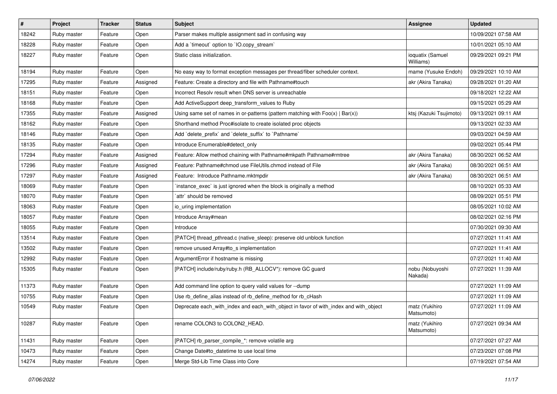| #     | Project     | <b>Tracker</b> | <b>Status</b> | <b>Subject</b>                                                                        | Assignee                      | <b>Updated</b>      |
|-------|-------------|----------------|---------------|---------------------------------------------------------------------------------------|-------------------------------|---------------------|
| 18242 | Ruby master | Feature        | Open          | Parser makes multiple assignment sad in confusing way                                 |                               | 10/09/2021 07:58 AM |
| 18228 | Ruby master | Feature        | Open          | Add a 'timeout' option to 'IO.copy_stream'                                            |                               | 10/01/2021 05:10 AM |
| 18227 | Ruby master | Feature        | Open          | Static class initialization.                                                          | ioquatix (Samuel<br>Williams) | 09/29/2021 09:21 PM |
| 18194 | Ruby master | Feature        | Open          | No easy way to format exception messages per thread/fiber scheduler context.          | mame (Yusuke Endoh)           | 09/29/2021 10:10 AM |
| 17295 | Ruby master | Feature        | Assigned      | Feature: Create a directory and file with Pathname#touch                              | akr (Akira Tanaka)            | 09/28/2021 01:20 AM |
| 18151 | Ruby master | Feature        | Open          | Incorrect Resolv result when DNS server is unreachable                                |                               | 09/18/2021 12:22 AM |
| 18168 | Ruby master | Feature        | Open          | Add ActiveSupport deep_transform_values to Ruby                                       |                               | 09/15/2021 05:29 AM |
| 17355 | Ruby master | Feature        | Assigned      | Using same set of names in or-patterns (pattern matching with $Foo(x)   Bar(x)$ )     | ktsj (Kazuki Tsujimoto)       | 09/13/2021 09:11 AM |
| 18162 | Ruby master | Feature        | Open          | Shorthand method Proc#isolate to create isolated proc objects                         |                               | 09/13/2021 02:33 AM |
| 18146 | Ruby master | Feature        | Open          | Add `delete_prefix` and `delete_suffix` to `Pathname`                                 |                               | 09/03/2021 04:59 AM |
| 18135 | Ruby master | Feature        | Open          | Introduce Enumerable#detect_only                                                      |                               | 09/02/2021 05:44 PM |
| 17294 | Ruby master | Feature        | Assigned      | Feature: Allow method chaining with Pathname#mkpath Pathname#rmtree                   | akr (Akira Tanaka)            | 08/30/2021 06:52 AM |
| 17296 | Ruby master | Feature        | Assigned      | Feature: Pathname#chmod use FileUtils.chmod instead of File                           | akr (Akira Tanaka)            | 08/30/2021 06:51 AM |
| 17297 | Ruby master | Feature        | Assigned      | Feature: Introduce Pathname.mktmpdir                                                  | akr (Akira Tanaka)            | 08/30/2021 06:51 AM |
| 18069 | Ruby master | Feature        | Open          | instance exec is just ignored when the block is originally a method                   |                               | 08/10/2021 05:33 AM |
| 18070 | Ruby master | Feature        | Open          | `attr` should be removed                                                              |                               | 08/09/2021 05:51 PM |
| 18063 | Ruby master | Feature        | Open          | io uring implementation                                                               |                               | 08/05/2021 10:02 AM |
| 18057 | Ruby master | Feature        | Open          | Introduce Array#mean                                                                  |                               | 08/02/2021 02:16 PM |
| 18055 | Ruby master | Feature        | Open          | Introduce                                                                             |                               | 07/30/2021 09:30 AM |
| 13514 | Ruby master | Feature        | Open          | [PATCH] thread_pthread.c (native_sleep): preserve old unblock function                |                               | 07/27/2021 11:41 AM |
| 13502 | Ruby master | Feature        | Open          | remove unused Array#to_s implementation                                               |                               | 07/27/2021 11:41 AM |
| 12992 | Ruby master | Feature        | Open          | ArgumentError if hostname is missing                                                  |                               | 07/27/2021 11:40 AM |
| 15305 | Ruby master | Feature        | Open          | [PATCH] include/ruby/ruby.h (RB_ALLOCV*): remove GC guard                             | nobu (Nobuyoshi<br>Nakada)    | 07/27/2021 11:39 AM |
| 11373 | Ruby master | Feature        | Open          | Add command line option to query valid values for --dump                              |                               | 07/27/2021 11:09 AM |
| 10755 | Ruby master | Feature        | Open          | Use rb_define_alias instead of rb_define_method for rb_cHash                          |                               | 07/27/2021 11:09 AM |
| 10549 | Ruby master | Feature        | Open          | Deprecate each_with_index and each_with_object in favor of with_index and with_object | matz (Yukihiro<br>Matsumoto)  | 07/27/2021 11:09 AM |
| 10287 | Ruby master | Feature        | Open          | rename COLON3 to COLON2 HEAD.                                                         | matz (Yukihiro<br>Matsumoto)  | 07/27/2021 09:34 AM |
| 11431 | Ruby master | Feature        | Open          | [PATCH] rb_parser_compile_*: remove volatile arg                                      |                               | 07/27/2021 07:27 AM |
| 10473 | Ruby master | Feature        | Open          | Change Date#to datetime to use local time                                             |                               | 07/23/2021 07:08 PM |
| 14274 | Ruby master | Feature        | Open          | Merge Std-Lib Time Class into Core                                                    |                               | 07/19/2021 07:54 AM |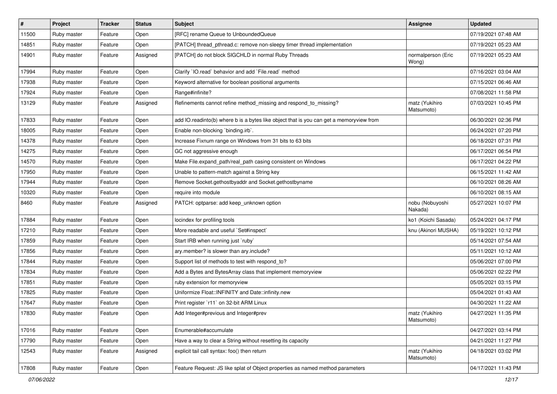| $\sharp$ | Project     | <b>Tracker</b> | <b>Status</b> | <b>Subject</b>                                                                          | <b>Assignee</b>              | <b>Updated</b>      |
|----------|-------------|----------------|---------------|-----------------------------------------------------------------------------------------|------------------------------|---------------------|
| 11500    | Ruby master | Feature        | Open          | [RFC] rename Queue to UnboundedQueue                                                    |                              | 07/19/2021 07:48 AM |
| 14851    | Ruby master | Feature        | Open          | [PATCH] thread_pthread.c: remove non-sleepy timer thread implementation                 |                              | 07/19/2021 05:23 AM |
| 14901    | Ruby master | Feature        | Assigned      | [PATCH] do not block SIGCHLD in normal Ruby Threads                                     | normalperson (Eric<br>Wong)  | 07/19/2021 05:23 AM |
| 17994    | Ruby master | Feature        | Open          | Clarify `IO.read` behavior and add `File.read` method                                   |                              | 07/16/2021 03:04 AM |
| 17938    | Ruby master | Feature        | Open          | Keyword alternative for boolean positional arguments                                    |                              | 07/15/2021 06:46 AM |
| 17924    | Ruby master | Feature        | Open          | Range#infinite?                                                                         |                              | 07/08/2021 11:58 PM |
| 13129    | Ruby master | Feature        | Assigned      | Refinements cannot refine method_missing and respond_to_missing?                        | matz (Yukihiro<br>Matsumoto) | 07/03/2021 10:45 PM |
| 17833    | Ruby master | Feature        | Open          | add IO.readinto(b) where b is a bytes like object that is you can get a memoryview from |                              | 06/30/2021 02:36 PM |
| 18005    | Ruby master | Feature        | Open          | Enable non-blocking 'binding.irb'.                                                      |                              | 06/24/2021 07:20 PM |
| 14378    | Ruby master | Feature        | Open          | Increase Fixnum range on Windows from 31 bits to 63 bits                                |                              | 06/18/2021 07:31 PM |
| 14275    | Ruby master | Feature        | Open          | GC not aggressive enough                                                                |                              | 06/17/2021 06:54 PM |
| 14570    | Ruby master | Feature        | Open          | Make File.expand_path/real_path casing consistent on Windows                            |                              | 06/17/2021 04:22 PM |
| 17950    | Ruby master | Feature        | Open          | Unable to pattern-match against a String key                                            |                              | 06/15/2021 11:42 AM |
| 17944    | Ruby master | Feature        | Open          | Remove Socket.gethostbyaddr and Socket.gethostbyname                                    |                              | 06/10/2021 08:26 AM |
| 10320    | Ruby master | Feature        | Open          | require into module                                                                     |                              | 06/10/2021 08:15 AM |
| 8460     | Ruby master | Feature        | Assigned      | PATCH: optparse: add keep_unknown option                                                | nobu (Nobuyoshi<br>Nakada)   | 05/27/2021 10:07 PM |
| 17884    | Ruby master | Feature        | Open          | locindex for profiling tools                                                            | ko1 (Koichi Sasada)          | 05/24/2021 04:17 PM |
| 17210    | Ruby master | Feature        | Open          | More readable and useful `Set#inspect`                                                  | knu (Akinori MUSHA)          | 05/19/2021 10:12 PM |
| 17859    | Ruby master | Feature        | Open          | Start IRB when running just `ruby`                                                      |                              | 05/14/2021 07:54 AM |
| 17856    | Ruby master | Feature        | Open          | ary.member? is slower than ary.include?                                                 |                              | 05/11/2021 10:12 AM |
| 17844    | Ruby master | Feature        | Open          | Support list of methods to test with respond_to?                                        |                              | 05/06/2021 07:00 PM |
| 17834    | Ruby master | Feature        | Open          | Add a Bytes and BytesArray class that implement memoryview                              |                              | 05/06/2021 02:22 PM |
| 17851    | Ruby master | Feature        | Open          | ruby extension for memoryview                                                           |                              | 05/05/2021 03:15 PM |
| 17825    | Ruby master | Feature        | Open          | Uniformize Float::INFINITY and Date::infinity.new                                       |                              | 05/04/2021 01:43 AM |
| 17647    | Ruby master | Feature        | Open          | Print register `r11` on 32-bit ARM Linux                                                |                              | 04/30/2021 11:22 AM |
| 17830    | Ruby master | Feature        | Open          | Add Integer#previous and Integer#prev                                                   | matz (Yukihiro<br>Matsumoto) | 04/27/2021 11:35 PM |
| 17016    | Ruby master | Feature        | Open          | Enumerable#accumulate                                                                   |                              | 04/27/2021 03:14 PM |
| 17790    | Ruby master | Feature        | Open          | Have a way to clear a String without resetting its capacity                             |                              | 04/21/2021 11:27 PM |
| 12543    | Ruby master | Feature        | Assigned      | explicit tail call syntax: foo() then return                                            | matz (Yukihiro<br>Matsumoto) | 04/18/2021 03:02 PM |
| 17808    | Ruby master | Feature        | Open          | Feature Request: JS like splat of Object properties as named method parameters          |                              | 04/17/2021 11:43 PM |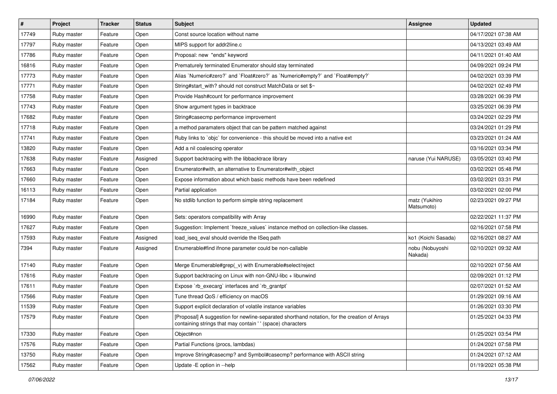| $\vert$ # | Project     | <b>Tracker</b> | <b>Status</b> | <b>Subject</b>                                                                                                                                            | <b>Assignee</b>              | <b>Updated</b>      |
|-----------|-------------|----------------|---------------|-----------------------------------------------------------------------------------------------------------------------------------------------------------|------------------------------|---------------------|
| 17749     | Ruby master | Feature        | Open          | Const source location without name                                                                                                                        |                              | 04/17/2021 07:38 AM |
| 17797     | Ruby master | Feature        | Open          | MIPS support for addr2line.c                                                                                                                              |                              | 04/13/2021 03:49 AM |
| 17786     | Ruby master | Feature        | Open          | Proposal: new "ends" keyword                                                                                                                              |                              | 04/11/2021 01:40 AM |
| 16816     | Ruby master | Feature        | Open          | Prematurely terminated Enumerator should stay terminated                                                                                                  |                              | 04/09/2021 09:24 PM |
| 17773     | Ruby master | Feature        | Open          | Alias `Numeric#zero?` and `Float#zero?` as `Numeric#empty?` and `Float#empty?`                                                                            |                              | 04/02/2021 03:39 PM |
| 17771     | Ruby master | Feature        | Open          | String#start_with? should not construct MatchData or set \$~                                                                                              |                              | 04/02/2021 02:49 PM |
| 17758     | Ruby master | Feature        | Open          | Provide Hash#count for performance improvement                                                                                                            |                              | 03/28/2021 06:39 PM |
| 17743     | Ruby master | Feature        | Open          | Show argument types in backtrace                                                                                                                          |                              | 03/25/2021 06:39 PM |
| 17682     | Ruby master | Feature        | Open          | String#casecmp performance improvement                                                                                                                    |                              | 03/24/2021 02:29 PM |
| 17718     | Ruby master | Feature        | Open          | a method paramaters object that can be pattern matched against                                                                                            |                              | 03/24/2021 01:29 PM |
| 17741     | Ruby master | Feature        | Open          | Ruby links to `objc` for convenience - this should be moved into a native ext                                                                             |                              | 03/23/2021 01:24 AM |
| 13820     | Ruby master | Feature        | Open          | Add a nil coalescing operator                                                                                                                             |                              | 03/16/2021 03:34 PM |
| 17638     | Ruby master | Feature        | Assigned      | Support backtracing with the libbacktrace library                                                                                                         | naruse (Yui NARUSE)          | 03/05/2021 03:40 PM |
| 17663     | Ruby master | Feature        | Open          | Enumerator#with, an alternative to Enumerator#with_object                                                                                                 |                              | 03/02/2021 05:48 PM |
| 17660     | Ruby master | Feature        | Open          | Expose information about which basic methods have been redefined                                                                                          |                              | 03/02/2021 03:31 PM |
| 16113     | Ruby master | Feature        | Open          | Partial application                                                                                                                                       |                              | 03/02/2021 02:00 PM |
| 17184     | Ruby master | Feature        | Open          | No stdlib function to perform simple string replacement                                                                                                   | matz (Yukihiro<br>Matsumoto) | 02/23/2021 09:27 PM |
| 16990     | Ruby master | Feature        | Open          | Sets: operators compatibility with Array                                                                                                                  |                              | 02/22/2021 11:37 PM |
| 17627     | Ruby master | Feature        | Open          | Suggestion: Implement `freeze_values` instance method on collection-like classes.                                                                         |                              | 02/16/2021 07:58 PM |
| 17593     | Ruby master | Feature        | Assigned      | load_iseq_eval should override the ISeq path                                                                                                              | ko1 (Koichi Sasada)          | 02/16/2021 08:27 AM |
| 7394      | Ruby master | Feature        | Assigned      | Enumerable#find ifnone parameter could be non-callable                                                                                                    | nobu (Nobuyoshi<br>Nakada)   | 02/10/2021 09:32 AM |
| 17140     | Ruby master | Feature        | Open          | Merge Enumerable#grep(_v) with Enumerable#select/reject                                                                                                   |                              | 02/10/2021 07:56 AM |
| 17616     | Ruby master | Feature        | Open          | Support backtracing on Linux with non-GNU-libc + libunwind                                                                                                |                              | 02/09/2021 01:12 PM |
| 17611     | Ruby master | Feature        | Open          | Expose `rb_execarg` interfaces and `rb_grantpt`                                                                                                           |                              | 02/07/2021 01:52 AM |
| 17566     | Ruby master | Feature        | Open          | Tune thread QoS / efficiency on macOS                                                                                                                     |                              | 01/29/2021 09:16 AM |
| 11539     | Ruby master | Feature        | Open          | Support explicit declaration of volatile instance variables                                                                                               |                              | 01/26/2021 03:30 PM |
| 17579     | Ruby master | Feature        | Open          | [Proposal] A suggestion for newline-separated shorthand notation, for the creation of Arrays<br>containing strings that may contain '' (space) characters |                              | 01/25/2021 04:33 PM |
| 17330     | Ruby master | Feature        | Open          | Object#non                                                                                                                                                |                              | 01/25/2021 03:54 PM |
| 17576     | Ruby master | Feature        | Open          | Partial Functions (procs, lambdas)                                                                                                                        |                              | 01/24/2021 07:58 PM |
| 13750     | Ruby master | Feature        | Open          | Improve String#casecmp? and Symbol#casecmp? performance with ASCII string                                                                                 |                              | 01/24/2021 07:12 AM |
| 17562     | Ruby master | Feature        | Open          | Update - E option in --help                                                                                                                               |                              | 01/19/2021 05:38 PM |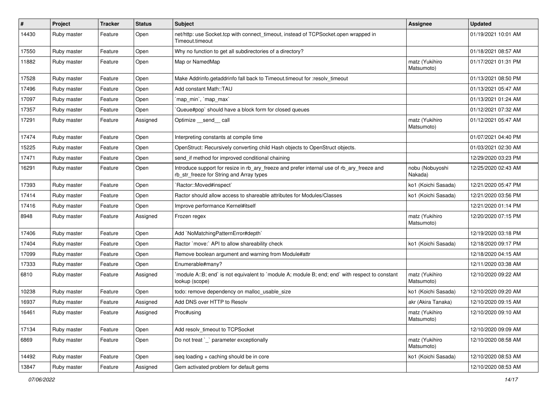| $\vert$ # | Project     | <b>Tracker</b> | <b>Status</b> | Subject                                                                                                                                | Assignee                     | <b>Updated</b>      |
|-----------|-------------|----------------|---------------|----------------------------------------------------------------------------------------------------------------------------------------|------------------------------|---------------------|
| 14430     | Ruby master | Feature        | Open          | net/http: use Socket.tcp with connect_timeout, instead of TCPSocket.open wrapped in<br>Timeout.timeout                                 |                              | 01/19/2021 10:01 AM |
| 17550     | Ruby master | Feature        | Open          | Why no function to get all subdirectories of a directory?                                                                              |                              | 01/18/2021 08:57 AM |
| 11882     | Ruby master | Feature        | Open          | Map or NamedMap                                                                                                                        | matz (Yukihiro<br>Matsumoto) | 01/17/2021 01:31 PM |
| 17528     | Ruby master | Feature        | Open          | Make Addrinfo.getaddrinfo fall back to Timeout.timeout for :resolv timeout                                                             |                              | 01/13/2021 08:50 PM |
| 17496     | Ruby master | Feature        | Open          | Add constant Math::TAU                                                                                                                 |                              | 01/13/2021 05:47 AM |
| 17097     | Ruby master | Feature        | Open          | 'map min', 'map max'                                                                                                                   |                              | 01/13/2021 01:24 AM |
| 17357     | Ruby master | Feature        | Open          | Queue#pop`should have a block form for closed queues                                                                                   |                              | 01/12/2021 07:32 AM |
| 17291     | Ruby master | Feature        | Assigned      | Optimize __send__ call                                                                                                                 | matz (Yukihiro<br>Matsumoto) | 01/12/2021 05:47 AM |
| 17474     | Ruby master | Feature        | Open          | Interpreting constants at compile time                                                                                                 |                              | 01/07/2021 04:40 PM |
| 15225     | Ruby master | Feature        | Open          | OpenStruct: Recursively converting child Hash objects to OpenStruct objects.                                                           |                              | 01/03/2021 02:30 AM |
| 17471     | Ruby master | Feature        | Open          | send_if method for improved conditional chaining                                                                                       |                              | 12/29/2020 03:23 PM |
| 16291     | Ruby master | Feature        | Open          | Introduce support for resize in rb_ary_freeze and prefer internal use of rb_ary_freeze and<br>rb_str_freeze for String and Array types | nobu (Nobuyoshi<br>Nakada)   | 12/25/2020 02:43 AM |
| 17393     | Ruby master | Feature        | Open          | `Ractor::Moved#inspect`                                                                                                                | ko1 (Koichi Sasada)          | 12/21/2020 05:47 PM |
| 17414     | Ruby master | Feature        | Open          | Ractor should allow access to shareable attributes for Modules/Classes                                                                 | ko1 (Koichi Sasada)          | 12/21/2020 03:56 PM |
| 17416     | Ruby master | Feature        | Open          | Improve performance Kernel#itself                                                                                                      |                              | 12/21/2020 01:14 PM |
| 8948      | Ruby master | Feature        | Assigned      | Frozen regex                                                                                                                           | matz (Yukihiro<br>Matsumoto) | 12/20/2020 07:15 PM |
| 17406     | Ruby master | Feature        | Open          | Add `NoMatchingPatternError#depth`                                                                                                     |                              | 12/19/2020 03:18 PM |
| 17404     | Ruby master | Feature        | Open          | Ractor `move:` API to allow shareability check                                                                                         | ko1 (Koichi Sasada)          | 12/18/2020 09:17 PM |
| 17099     | Ruby master | Feature        | Open          | Remove boolean argument and warning from Module#attr                                                                                   |                              | 12/18/2020 04:15 AM |
| 17333     | Ruby master | Feature        | Open          | Enumerable#many?                                                                                                                       |                              | 12/11/2020 03:38 AM |
| 6810      | Ruby master | Feature        | Assigned      | module A::B; end` is not equivalent to `module A; module B; end; end` with respect to constant<br>lookup (scope)                       | matz (Yukihiro<br>Matsumoto) | 12/10/2020 09:22 AM |
| 10238     | Ruby master | Feature        | Open          | todo: remove dependency on malloc_usable_size                                                                                          | ko1 (Koichi Sasada)          | 12/10/2020 09:20 AM |
| 16937     | Ruby master | Feature        | Assigned      | Add DNS over HTTP to Resolv                                                                                                            | akr (Akira Tanaka)           | 12/10/2020 09:15 AM |
| 16461     | Ruby master | Feature        | Assigned      | Proc#using                                                                                                                             | matz (Yukihiro<br>Matsumoto) | 12/10/2020 09:10 AM |
| 17134     | Ruby master | Feature        | Open          | Add resolv_timeout to TCPSocket                                                                                                        |                              | 12/10/2020 09:09 AM |
| 6869      | Ruby master | Feature        | Open          | Do not treat `_` parameter exceptionally                                                                                               | matz (Yukihiro<br>Matsumoto) | 12/10/2020 08:58 AM |
| 14492     | Ruby master | Feature        | Open          | iseq loading + caching should be in core                                                                                               | ko1 (Koichi Sasada)          | 12/10/2020 08:53 AM |
| 13847     | Ruby master | Feature        | Assigned      | Gem activated problem for default gems                                                                                                 |                              | 12/10/2020 08:53 AM |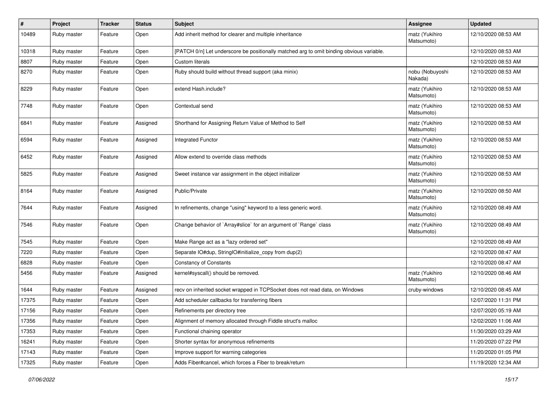| #     | Project     | <b>Tracker</b> | <b>Status</b> | <b>Subject</b>                                                                           | <b>Assignee</b>              | <b>Updated</b>      |
|-------|-------------|----------------|---------------|------------------------------------------------------------------------------------------|------------------------------|---------------------|
| 10489 | Ruby master | Feature        | Open          | Add inherit method for clearer and multiple inheritance                                  | matz (Yukihiro<br>Matsumoto) | 12/10/2020 08:53 AM |
| 10318 | Ruby master | Feature        | Open          | [PATCH 0/n] Let underscore be positionally matched arg to omit binding obvious variable. |                              | 12/10/2020 08:53 AM |
| 8807  | Ruby master | Feature        | Open          | <b>Custom literals</b>                                                                   |                              | 12/10/2020 08:53 AM |
| 8270  | Ruby master | Feature        | Open          | Ruby should build without thread support (aka minix)                                     | nobu (Nobuyoshi<br>Nakada)   | 12/10/2020 08:53 AM |
| 8229  | Ruby master | Feature        | Open          | extend Hash.include?                                                                     | matz (Yukihiro<br>Matsumoto) | 12/10/2020 08:53 AM |
| 7748  | Ruby master | Feature        | Open          | Contextual send                                                                          | matz (Yukihiro<br>Matsumoto) | 12/10/2020 08:53 AM |
| 6841  | Ruby master | Feature        | Assigned      | Shorthand for Assigning Return Value of Method to Self                                   | matz (Yukihiro<br>Matsumoto) | 12/10/2020 08:53 AM |
| 6594  | Ruby master | Feature        | Assigned      | <b>Integrated Functor</b>                                                                | matz (Yukihiro<br>Matsumoto) | 12/10/2020 08:53 AM |
| 6452  | Ruby master | Feature        | Assigned      | Allow extend to override class methods                                                   | matz (Yukihiro<br>Matsumoto) | 12/10/2020 08:53 AM |
| 5825  | Ruby master | Feature        | Assigned      | Sweet instance var assignment in the object initializer                                  | matz (Yukihiro<br>Matsumoto) | 12/10/2020 08:53 AM |
| 8164  | Ruby master | Feature        | Assigned      | Public/Private                                                                           | matz (Yukihiro<br>Matsumoto) | 12/10/2020 08:50 AM |
| 7644  | Ruby master | Feature        | Assigned      | In refinements, change "using" keyword to a less generic word.                           | matz (Yukihiro<br>Matsumoto) | 12/10/2020 08:49 AM |
| 7546  | Ruby master | Feature        | Open          | Change behavior of `Array#slice` for an argument of `Range` class                        | matz (Yukihiro<br>Matsumoto) | 12/10/2020 08:49 AM |
| 7545  | Ruby master | Feature        | Open          | Make Range act as a "lazy ordered set"                                                   |                              | 12/10/2020 08:49 AM |
| 7220  | Ruby master | Feature        | Open          | Separate IO#dup, StringIO#initialize_copy from dup(2)                                    |                              | 12/10/2020 08:47 AM |
| 6828  | Ruby master | Feature        | Open          | <b>Constancy of Constants</b>                                                            |                              | 12/10/2020 08:47 AM |
| 5456  | Ruby master | Feature        | Assigned      | kernel#syscall() should be removed.                                                      | matz (Yukihiro<br>Matsumoto) | 12/10/2020 08:46 AM |
| 1644  | Ruby master | Feature        | Assigned      | recv on inherited socket wrapped in TCPSocket does not read data, on Windows             | cruby-windows                | 12/10/2020 08:45 AM |
| 17375 | Ruby master | Feature        | Open          | Add scheduler callbacks for transferring fibers                                          |                              | 12/07/2020 11:31 PM |
| 17156 | Ruby master | Feature        | Open          | Refinements per directory tree                                                           |                              | 12/07/2020 05:19 AM |
| 17356 | Ruby master | Feature        | Open          | Alignment of memory allocated through Fiddle struct's malloc                             |                              | 12/02/2020 11:06 AM |
| 17353 | Ruby master | Feature        | Open          | Functional chaining operator                                                             |                              | 11/30/2020 03:29 AM |
| 16241 | Ruby master | Feature        | Open          | Shorter syntax for anonymous refinements                                                 |                              | 11/20/2020 07:22 PM |
| 17143 | Ruby master | Feature        | Open          | Improve support for warning categories                                                   |                              | 11/20/2020 01:05 PM |
| 17325 | Ruby master | Feature        | Open          | Adds Fiber#cancel, which forces a Fiber to break/return                                  |                              | 11/19/2020 12:34 AM |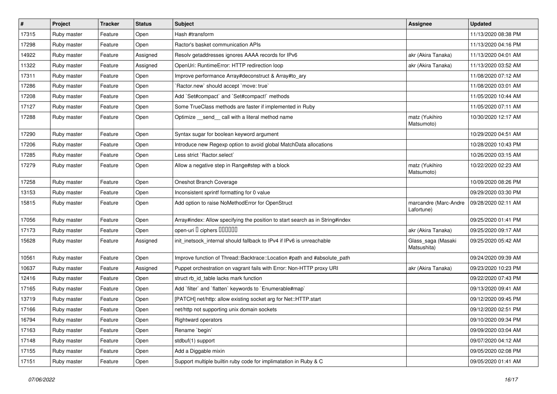| #     | Project     | <b>Tracker</b> | <b>Status</b> | Subject                                                                       | Assignee                            | <b>Updated</b>      |
|-------|-------------|----------------|---------------|-------------------------------------------------------------------------------|-------------------------------------|---------------------|
| 17315 | Ruby master | Feature        | Open          | Hash #transform                                                               |                                     | 11/13/2020 08:38 PM |
| 17298 | Ruby master | Feature        | Open          | Ractor's basket communication APIs                                            |                                     | 11/13/2020 04:16 PM |
| 14922 | Ruby master | Feature        | Assigned      | Resolv getaddresses ignores AAAA records for IPv6                             | akr (Akira Tanaka)                  | 11/13/2020 04:01 AM |
| 11322 | Ruby master | Feature        | Assigned      | OpenUri: RuntimeError: HTTP redirection loop                                  | akr (Akira Tanaka)                  | 11/13/2020 03:52 AM |
| 17311 | Ruby master | Feature        | Open          | Improve performance Array#deconstruct & Array#to_ary                          |                                     | 11/08/2020 07:12 AM |
| 17286 | Ruby master | Feature        | Open          | Ractor.new' should accept 'move: true'                                        |                                     | 11/08/2020 03:01 AM |
| 17208 | Ruby master | Feature        | Open          | Add `Set#compact` and `Set#compact!` methods                                  |                                     | 11/05/2020 10:44 AM |
| 17127 | Ruby master | Feature        | Open          | Some TrueClass methods are faster if implemented in Ruby                      |                                     | 11/05/2020 07:11 AM |
| 17288 | Ruby master | Feature        | Open          | Optimize _send_call with a literal method name                                | matz (Yukihiro<br>Matsumoto)        | 10/30/2020 12:17 AM |
| 17290 | Ruby master | Feature        | Open          | Syntax sugar for boolean keyword argument                                     |                                     | 10/29/2020 04:51 AM |
| 17206 | Ruby master | Feature        | Open          | Introduce new Regexp option to avoid global MatchData allocations             |                                     | 10/28/2020 10:43 PM |
| 17285 | Ruby master | Feature        | Open          | Less strict `Ractor.select`                                                   |                                     | 10/26/2020 03:15 AM |
| 17279 | Ruby master | Feature        | Open          | Allow a negative step in Range#step with a block                              | matz (Yukihiro<br>Matsumoto)        | 10/22/2020 02:23 AM |
| 17258 | Ruby master | Feature        | Open          | Oneshot Branch Coverage                                                       |                                     | 10/09/2020 08:26 PM |
| 13153 | Ruby master | Feature        | Open          | Inconsistent sprintf formatting for 0 value                                   |                                     | 09/29/2020 03:30 PM |
| 15815 | Ruby master | Feature        | Open          | Add option to raise NoMethodError for OpenStruct                              | marcandre (Marc-Andre<br>Lafortune) | 09/28/2020 02:11 AM |
| 17056 | Ruby master | Feature        | Open          | Array#index: Allow specifying the position to start search as in String#index |                                     | 09/25/2020 01:41 PM |
| 17173 | Ruby master | Feature        | Open          | open-uri I ciphers IIIIIII                                                    | akr (Akira Tanaka)                  | 09/25/2020 09:17 AM |
| 15628 | Ruby master | Feature        | Assigned      | init_inetsock_internal should fallback to IPv4 if IPv6 is unreachable         | Glass_saga (Masaki<br>Matsushita)   | 09/25/2020 05:42 AM |
| 10561 | Ruby master | Feature        | Open          | Improve function of Thread::Backtrace::Location #path and #absolute_path      |                                     | 09/24/2020 09:39 AM |
| 10637 | Ruby master | Feature        | Assigned      | Puppet orchestration on vagrant fails with Error: Non-HTTP proxy URI          | akr (Akira Tanaka)                  | 09/23/2020 10:23 PM |
| 12416 | Ruby master | Feature        | Open          | struct rb_id_table lacks mark function                                        |                                     | 09/22/2020 07:43 PM |
| 17165 | Ruby master | Feature        | Open          | Add `filter` and `flatten` keywords to `Enumerable#map`                       |                                     | 09/13/2020 09:41 AM |
| 13719 | Ruby master | Feature        | Open          | [PATCH] net/http: allow existing socket arg for Net::HTTP.start               |                                     | 09/12/2020 09:45 PM |
| 17166 | Ruby master | Feature        | Open          | net/http not supporting unix domain sockets                                   |                                     | 09/12/2020 02:51 PM |
| 16794 | Ruby master | Feature        | Open          | Rightward operators                                                           |                                     | 09/10/2020 09:34 PM |
| 17163 | Ruby master | Feature        | Open          | Rename `begin`                                                                |                                     | 09/09/2020 03:04 AM |
| 17148 | Ruby master | Feature        | Open          | stdbuf(1) support                                                             |                                     | 09/07/2020 04:12 AM |
| 17155 | Ruby master | Feature        | Open          | Add a Diggable mixin                                                          |                                     | 09/05/2020 02:08 PM |
| 17151 | Ruby master | Feature        | Open          | Support multiple builtin ruby code for implimatation in Ruby & C              |                                     | 09/05/2020 01:41 AM |